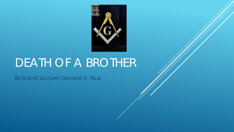

# DEATH OF A BROTHER

By Grand Lecturer Leonard D. Ross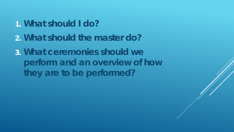- **1. What should I do?**
- **2. What should the master do?**
- **3. What ceremonies should we perform and an overview of how they are to be performed?**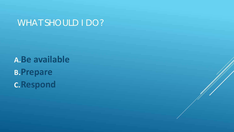## WHAT SHOULD I DO?

**A.Be available B.Prepare C.Respond**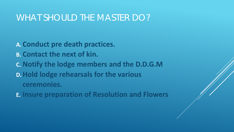#### WHAT SHOULD THE MASTER DO?

**A. Conduct pre death practices. B. Contact the next of kin. C. Notify the lodge members and the D.D.G.M D.Hold lodge rehearsals for the various ceremonies.**

**E. Insure preparation of Resolution and Flowers**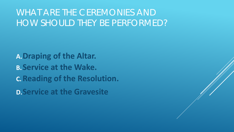# WHAT ARE THE CEREMONIES AND HOW SHOULD THEY BE PERFORMED?

**A.Draping of the Altar. B.Service at the Wake. C.Reading of the Resolution. D.Service at the Gravesite**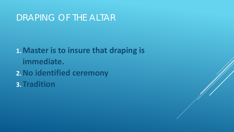### DRAPING OF THE ALTAR

**1.Master is to insure that draping is immediate. 2.No identified ceremony 3. Tradition**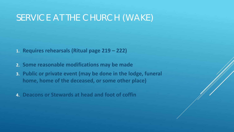## SERVICE AT THE CHURCH (WAKE)

- **1. Requires rehearsals (Ritual page 219 – 222)**
- **2. Some reasonable modifications may be made**
- **3. Public or private event (may be done in the lodge, funeral home, home of the deceased, or some other place)**
- **4. Deacons or Stewards at head and foot of coffin**